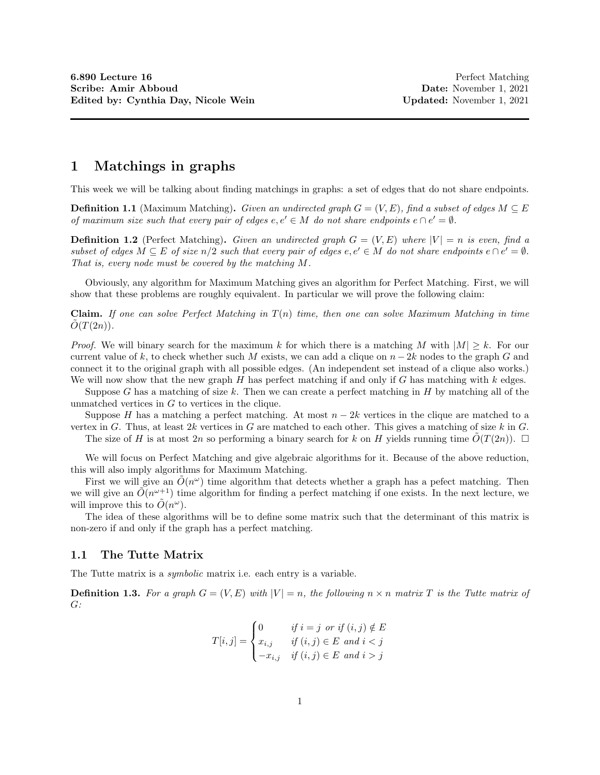## 1 Matchings in graphs

This week we will be talking about finding matchings in graphs: a set of edges that do not share endpoints.

**Definition 1.1** (Maximum Matching). Given an undirected graph  $G = (V, E)$ , find a subset of edges  $M \subseteq E$ of maximum size such that every pair of edges  $e, e' \in M$  do not share endpoints  $e \cap e' = \emptyset$ .

**Definition 1.2** (Perfect Matching). Given an undirected graph  $G = (V, E)$  where  $|V| = n$  is even, find a subset of edges  $M \subseteq E$  of size  $n/2$  such that every pair of edges  $e, e' \in M$  do not share endpoints  $e \cap e' = \emptyset$ . That is, every node must be covered by the matching M.

Obviously, any algorithm for Maximum Matching gives an algorithm for Perfect Matching. First, we will show that these problems are roughly equivalent. In particular we will prove the following claim:

**Claim.** If one can solve Perfect Matching in  $T(n)$  time, then one can solve Maximum Matching in time  $O(T(2n))$ .

*Proof.* We will binary search for the maximum k for which there is a matching M with  $|M| \geq k$ . For our current value of k, to check whether such M exists, we can add a clique on  $n - 2k$  nodes to the graph G and connect it to the original graph with all possible edges. (An independent set instead of a clique also works.) We will now show that the new graph  $H$  has perfect matching if and only if  $G$  has matching with  $k$  edges.

Suppose G has a matching of size k. Then we can create a perfect matching in  $H$  by matching all of the unmatched vertices in  $G$  to vertices in the clique.

Suppose H has a matching a perfect matching. At most  $n-2k$  vertices in the clique are matched to a vertex in G. Thus, at least  $2k$  vertices in G are matched to each other. This gives a matching of size k in G.

The size of H is at most 2n so performing a binary search for k on H yields running time  $O(T(2n))$ .  $\Box$ 

We will focus on Perfect Matching and give algebraic algorithms for it. Because of the above reduction, this will also imply algorithms for Maximum Matching.

First we will give an  $\tilde{O}(n^{\omega})$  time algorithm that detects whether a graph has a pefect matching. Then we will give an  $\tilde{O}(n^{\omega+1})$  time algorithm for finding a perfect matching if one exists. In the next lecture, we will improve this to  $\tilde{O}(n^{\omega})$ .

The idea of these algorithms will be to define some matrix such that the determinant of this matrix is non-zero if and only if the graph has a perfect matching.

### 1.1 The Tutte Matrix

The Tutte matrix is a *symbolic* matrix i.e. each entry is a variable.

**Definition 1.3.** For a graph  $G = (V, E)$  with  $|V| = n$ , the following  $n \times n$  matrix T is the Tutte matrix of  $G:$ 

$$
T[i,j] = \begin{cases} 0 & \text{if } i = j \text{ or if } (i,j) \notin E \\ x_{i,j} & \text{if } (i,j) \in E \text{ and } i < j \\ -x_{i,j} & \text{if } (i,j) \in E \text{ and } i > j \end{cases}
$$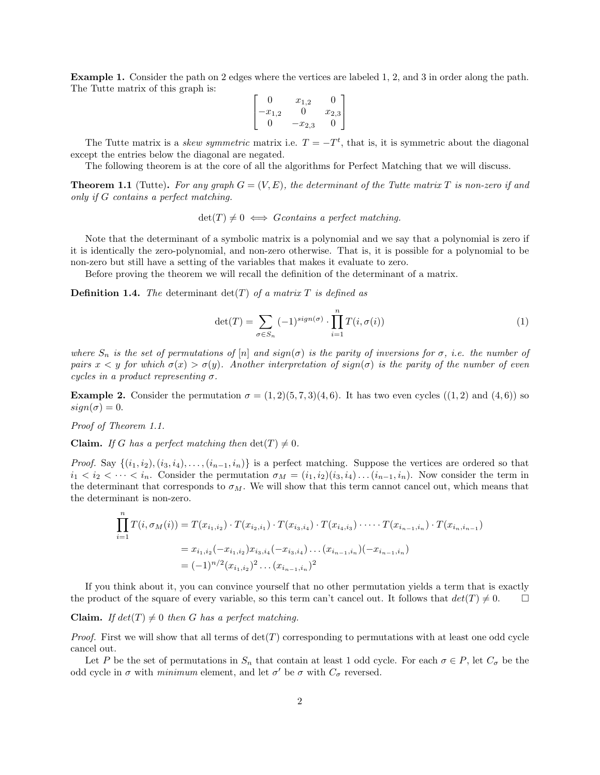Example 1. Consider the path on 2 edges where the vertices are labeled 1, 2, and 3 in order along the path. The Tutte matrix of this graph is:

$$
\begin{bmatrix} 0 & x_{1,2} & 0 \ -x_{1,2} & 0 & x_{2,3} \ 0 & -x_{2,3} & 0 \end{bmatrix}
$$

The Tutte matrix is a *skew symmetric* matrix i.e.  $T = -T<sup>t</sup>$ , that is, it is symmetric about the diagonal except the entries below the diagonal are negated.

The following theorem is at the core of all the algorithms for Perfect Matching that we will discuss.

**Theorem 1.1** (Tutte). For any graph  $G = (V, E)$ , the determinant of the Tutte matrix T is non-zero if and only if G contains a perfect matching.

 $\det(T) \neq 0 \iff Gcontains \text{ a perfect matching.}$ 

Note that the determinant of a symbolic matrix is a polynomial and we say that a polynomial is zero if it is identically the zero-polynomial, and non-zero otherwise. That is, it is possible for a polynomial to be non-zero but still have a setting of the variables that makes it evaluate to zero.

Before proving the theorem we will recall the definition of the determinant of a matrix.

**Definition 1.4.** The determinant  $det(T)$  of a matrix T is defined as

$$
\det(T) = \sum_{\sigma \in S_n} (-1)^{sign(\sigma)} \cdot \prod_{i=1}^n T(i, \sigma(i)) \tag{1}
$$

where  $S_n$  is the set of permutations of  $[n]$  and  $sign(\sigma)$  is the parity of inversions for  $\sigma$ , i.e. the number of pairs  $x < y$  for which  $\sigma(x) > \sigma(y)$ . Another interpretation of sign( $\sigma$ ) is the parity of the number of even cycles in a product representing  $\sigma$ .

**Example 2.** Consider the permutation  $\sigma = (1, 2)(5, 7, 3)(4, 6)$ . It has two even cycles  $((1, 2)$  and  $(4, 6))$  so  $sign(\sigma) = 0.$ 

Proof of Theorem 1.1.

 $\overline{n}$ 

**Claim.** If G has a perfect matching then  $det(T) \neq 0$ .

*Proof.* Say  $\{(i_1, i_2), (i_3, i_4), \ldots, (i_{n-1}, i_n)\}\$ is a perfect matching. Suppose the vertices are ordered so that  $i_1 < i_2 < \cdots < i_n$ . Consider the permutation  $\sigma_M = (i_1, i_2)(i_3, i_4) \dots (i_{n-1}, i_n)$ . Now consider the term in the determinant that corresponds to  $\sigma_M$ . We will show that this term cannot cancel out, which means that the determinant is non-zero.

$$
\prod_{i=1} T(i, \sigma_M(i)) = T(x_{i_1, i_2}) \cdot T(x_{i_2, i_1}) \cdot T(x_{i_3, i_4}) \cdot T(x_{i_4, i_3}) \cdot \dots \cdot T(x_{i_{n-1}, i_n}) \cdot T(x_{i_n, i_{n-1}})
$$
\n
$$
= x_{i_1, i_2}(-x_{i_1, i_2}) x_{i_3, i_4}(-x_{i_3, i_4}) \dots (x_{i_{n-1}, i_n})(-x_{i_{n-1}, i_n})
$$
\n
$$
= (-1)^{n/2} (x_{i_1, i_2})^2 \dots (x_{i_{n-1}, i_n})^2
$$

If you think about it, you can convince yourself that no other permutation yields a term that is exactly the product of the square of every variable, so this term can't cancel out. It follows that  $det(T) \neq 0$ .

#### **Claim.** If  $det(T) \neq 0$  then G has a perfect matching.

*Proof.* First we will show that all terms of  $det(T)$  corresponding to permutations with at least one odd cycle cancel out.

Let P be the set of permutations in  $S_n$  that contain at least 1 odd cycle. For each  $\sigma \in P$ , let  $C_{\sigma}$  be the odd cycle in  $\sigma$  with *minimum* element, and let  $\sigma'$  be  $\sigma$  with  $C_{\sigma}$  reversed.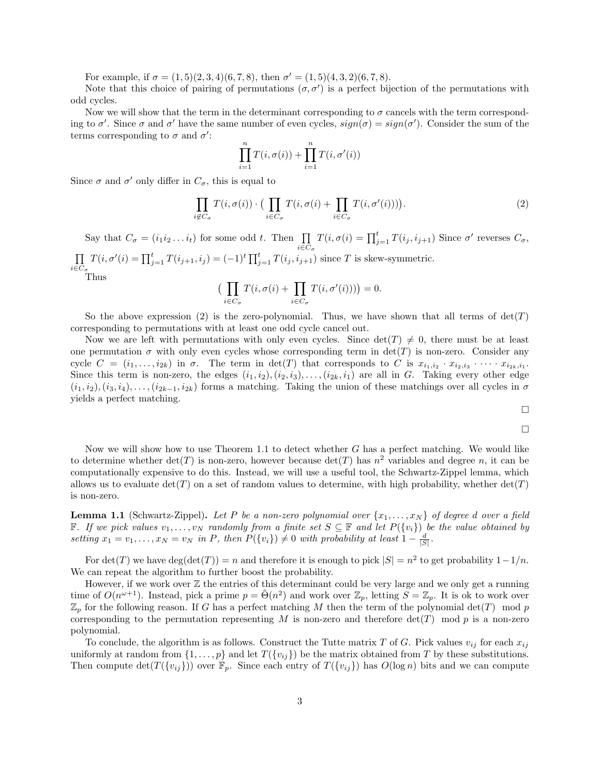For example, if  $\sigma = (1, 5)(2, 3, 4)(6, 7, 8)$ , then  $\sigma' = (1, 5)(4, 3, 2)(6, 7, 8)$ .

Note that this choice of pairing of permutations  $(\sigma, \sigma')$  is a perfect bijection of the permutations with odd cycles.

Now we will show that the term in the determinant corresponding to  $\sigma$  cancels with the term corresponding to  $\sigma'$ . Since  $\sigma$  and  $\sigma'$  have the same number of even cycles,  $sign(\sigma) = sign(\sigma')$ . Consider the sum of the terms corresponding to  $\sigma$  and  $\sigma'$ :

$$
\prod_{i=1}^{n} T(i, \sigma(i)) + \prod_{i=1}^{n} T(i, \sigma'(i))
$$

Since  $\sigma$  and  $\sigma'$  only differ in  $C_{\sigma}$ , this is equal to

$$
\prod_{i \notin C_{\sigma}} T(i, \sigma(i)) \cdot \big(\prod_{i \in C_{\sigma}} T(i, \sigma(i) + \prod_{i \in C_{\sigma}} T(i, \sigma'(i)))\big).
$$
 (2)

Say that  $C_{\sigma} = (i_1 i_2 ... i_t)$  for some odd t. Then  $\prod_{i \in C_{\sigma}}$  $T(i, \sigma(i) = \prod_{j=1}^{t} T(i_j, i_{j+1})$  Since  $\sigma'$  reverses  $C_{\sigma}$ ,  $\Pi$  $i\in C_{\sigma}$  $T(i, \sigma'(i) = \prod_{j=1}^{t} T(i_{j+1}, i_j) = (-1)^t \prod_{j=1}^{t} T(i_j, i_{j+1})$  since T is skew-symmetric. Thus

$$
\big(\prod_{i\in C_{\sigma}} T(i, \sigma(i) + \prod_{i\in C_{\sigma}} T(i, \sigma'(i)))\big) = 0.
$$

So the above expression (2) is the zero-polynomial. Thus, we have shown that all terms of  $det(T)$ corresponding to permutations with at least one odd cycle cancel out.

Now we are left with permutations with only even cycles. Since  $\det(T) \neq 0$ , there must be at least one permutation  $\sigma$  with only even cycles whose corresponding term in  $\det(T)$  is non-zero. Consider any cycle  $C = (i_1, \ldots, i_{2k})$  in  $\sigma$ . The term in  $\det(T)$  that corresponds to C is  $x_{i_1, i_2} \cdot x_{i_2, i_3} \cdot \cdots \cdot x_{i_{2k}, i_1}$ . Since this term is non-zero, the edges  $(i_1, i_2), (i_2, i_3), \ldots, (i_{2k}, i_1)$  are all in G. Taking every other edge  $(i_1, i_2), (i_3, i_4), \ldots, (i_{2k-1}, i_{2k})$  forms a matching. Taking the union of these matchings over all cycles in  $\sigma$ yields a perfect matching.

$$
\Box
$$

$$
\Box
$$

Now we will show how to use Theorem 1.1 to detect whether  $G$  has a perfect matching. We would like to determine whether  $\det(T)$  is non-zero, however because  $\det(T)$  has  $n^2$  variables and degree n, it can be computationally expensive to do this. Instead, we will use a useful tool, the Schwartz-Zippel lemma, which allows us to evaluate  $\det(T)$  on a set of random values to determine, with high probability, whether  $\det(T)$ is non-zero.

**Lemma 1.1** (Schwartz-Zippel). Let P be a non-zero polynomial over  $\{x_1, \ldots, x_N\}$  of degree d over a field F. If we pick values  $v_1, \ldots, v_N$  randomly from a finite set  $S ⊆ F$  and let  $P({v_i})$  be the value obtained by setting  $x_1 = v_1, \ldots, x_N = v_N$  in P, then  $P(\{v_i\}) \neq 0$  with probability at least  $1 - \frac{d}{|S|}$ .

For  $\det(T)$  we have  $\deg(\det(T)) = n$  and therefore it is enough to pick  $|S| = n^2$  to get probability  $1 - 1/n$ . We can repeat the algorithm to further boost the probability.

However, if we work over  $\mathbb Z$  the entries of this determinant could be very large and we only get a running time of  $O(n^{\omega+1})$ . Instead, pick a prime  $p = \tilde{\Theta}(n^2)$  and work over  $\mathbb{Z}_p$ , letting  $S = \mathbb{Z}_p$ . It is ok to work over  $\mathbb{Z}_p$  for the following reason. If G has a perfect matching M then the term of the polynomial  $\det(T) \mod p$ corresponding to the permutation representing M is non-zero and therefore  $det(T)$  mod p is a non-zero polynomial.

To conclude, the algorithm is as follows. Construct the Tutte matrix T of G. Pick values  $v_{ij}$  for each  $x_{ij}$ uniformly at random from  $\{1, \ldots, p\}$  and let  $T(\{v_{ij}\})$  be the matrix obtained from T by these substitutions. Then compute  $\det(T(\{v_{ij}\}))$  over  $\mathbb{F}_p$ . Since each entry of  $T(\{v_{ij}\})$  has  $O(\log n)$  bits and we can compute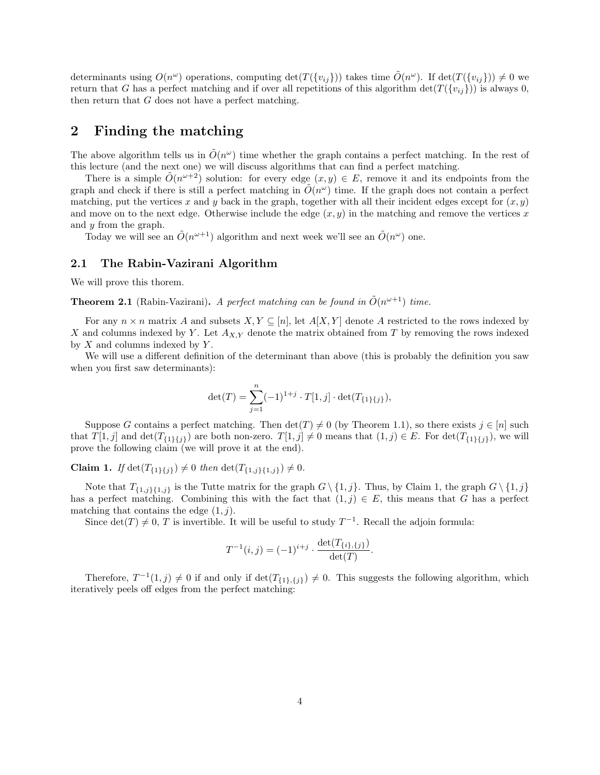determinants using  $O(n^{\omega})$  operations, computing  $\det(T(\{v_{ij}\}))$  takes time  $\tilde{O}(n^{\omega})$ . If  $\det(T(\{v_{ij}\})) \neq 0$  we return that G has a perfect matching and if over all repetitions of this algorithm  $\det(T(\{v_{ij}\}))$  is always 0, then return that G does not have a perfect matching.

# 2 Finding the matching

The above algorithm tells us in  $\tilde{O}(n^{\omega})$  time whether the graph contains a perfect matching. In the rest of this lecture (and the next one) we will discuss algorithms that can find a perfect matching.

There is a simple  $\tilde{O}(n^{\omega+2})$  solution: for every edge  $(x, y) \in E$ , remove it and its endpoints from the graph and check if there is still a perfect matching in  $\tilde{O}(n^{\omega})$  time. If the graph does not contain a perfect matching, put the vertices x and y back in the graph, together with all their incident edges except for  $(x, y)$ and move on to the next edge. Otherwise include the edge  $(x, y)$  in the matching and remove the vertices x and y from the graph.

Today we will see an  $\tilde{O}(n^{\omega+1})$  algorithm and next week we'll see an  $\tilde{O}(n^{\omega})$  one.

## 2.1 The Rabin-Vazirani Algorithm

We will prove this thorem.

**Theorem 2.1** (Rabin-Vazirani). A perfect matching can be found in  $\tilde{O}(n^{\omega+1})$  time.

For any  $n \times n$  matrix A and subsets  $X, Y \subseteq [n]$ , let  $A[X, Y]$  denote A restricted to the rows indexed by X and columns indexed by Y. Let  $A_{X,Y}$  denote the matrix obtained from T by removing the rows indexed by  $X$  and columns indexed by  $Y$ .

We will use a different definition of the determinant than above (this is probably the definition you saw when you first saw determinants):

$$
\det(T) = \sum_{j=1}^{n} (-1)^{1+j} \cdot T[1,j] \cdot \det(T_{\{1\}\{j\}}),
$$

Suppose G contains a perfect matching. Then  $\det(T) \neq 0$  (by Theorem 1.1), so there exists  $j \in [n]$  such that  $T[1, j]$  and  $\det(T_{\{1\}\{j\}})$  are both non-zero.  $T[1, j] \neq 0$  means that  $(1, j) \in E$ . For  $\det(T_{\{1\}\{j\}})$ , we will prove the following claim (we will prove it at the end).

**Claim 1.** If  $\det(T_{\{1\}\{j\}}) \neq 0$  then  $\det(T_{\{1,j\}\{1,j\}}) \neq 0$ .

Note that  $T_{\{1,j\}\{1,j\}}$  is the Tutte matrix for the graph  $G \setminus \{1,j\}$ . Thus, by Claim 1, the graph  $G \setminus \{1,j\}$ has a perfect matching. Combining this with the fact that  $(1, j) \in E$ , this means that G has a perfect matching that contains the edge  $(1, j)$ .

Since  $\det(T) \neq 0, T$  is invertible. It will be useful to study  $T^{-1}$ . Recall the adjoin formula:

$$
T^{-1}(i,j) = (-1)^{i+j} \cdot \frac{\det(T_{\{i\},\{j\}})}{\det(T)}.
$$

Therefore,  $T^{-1}(1, j) \neq 0$  if and only if  $\det(T_{\{1\},\{j\}}) \neq 0$ . This suggests the following algorithm, which iteratively peels off edges from the perfect matching: